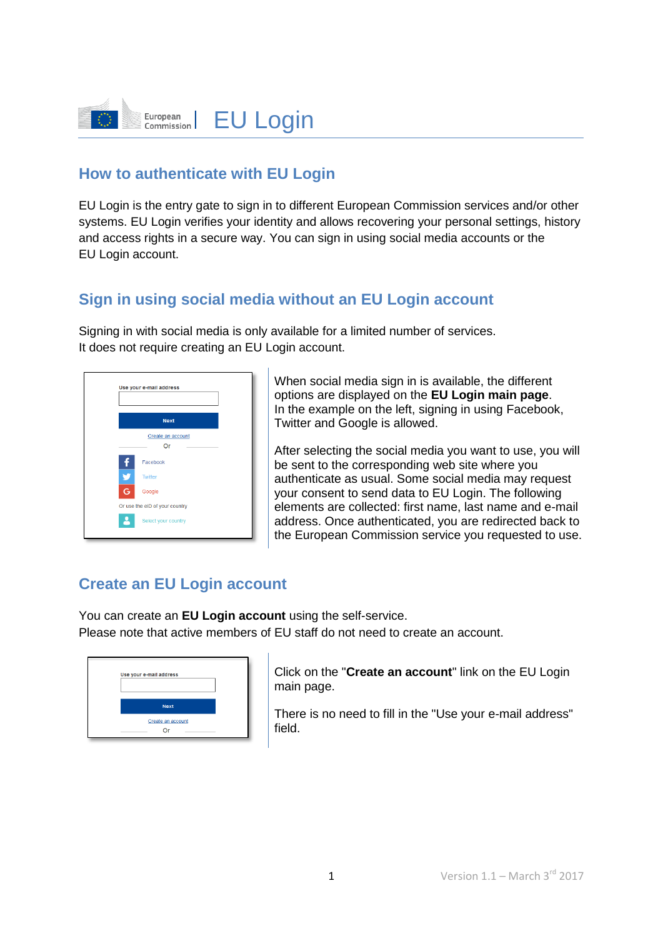

#### **How to authenticate with EU Login**

EU Login is the entry gate to sign in to different European Commission services and/or other systems. EU Login verifies your identity and allows recovering your personal settings, history and access rights in a secure way. You can sign in using social media accounts or the EU Login account.

#### **Sign in using social media without an EU Login account**

Signing in with social media is only available for a limited number of services. It does not require creating an EU Login account.

|   | Use your e-mail address        |
|---|--------------------------------|
|   | <b>Next</b>                    |
|   | Create an account<br>Or        |
|   | Facebook                       |
| v | Twitter                        |
| G | Google                         |
|   | Or use the eID of your country |
|   | Select your country            |
|   |                                |

When social media sign in is available, the different options are displayed on the **EU Login main page**. In the example on the left, signing in using Facebook, Twitter and Google is allowed.

After selecting the social media you want to use, you will be sent to the corresponding web site where you authenticate as usual. Some social media may request your consent to send data to EU Login. The following elements are collected: first name, last name and e-mail address. Once authenticated, you are redirected back to the European Commission service you requested to use.

#### **Create an EU Login account**

You can create an **EU Login account** using the self-service. Please note that active members of EU staff do not need to create an account.

| Use your e-mail address |  |
|-------------------------|--|
|                         |  |
| <b>Next</b>             |  |
| Create an account       |  |
|                         |  |

Click on the "**Create an account**" link on the EU Login main page.

There is no need to fill in the "Use your e-mail address" field.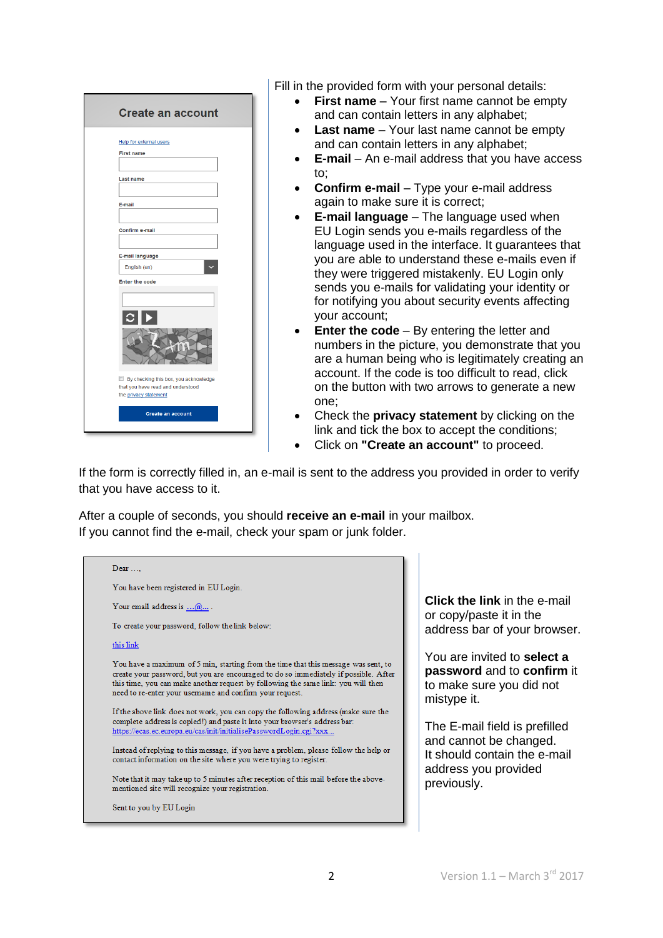| <b>Create an account</b>                                                                            |  |
|-----------------------------------------------------------------------------------------------------|--|
| <b>Help for external users</b><br><b>First name</b>                                                 |  |
| <b>Last name</b>                                                                                    |  |
| E-mail<br>Confirm e-mail                                                                            |  |
| E-mail language                                                                                     |  |
| English (en)<br><b>Enter the code</b>                                                               |  |
|                                                                                                     |  |
|                                                                                                     |  |
| By checking this box, you acknowledge<br>that you have read and understood<br>the privacy statement |  |
| <b>Create an account</b>                                                                            |  |

Fill in the provided form with your personal details:

- **First name** Your first name cannot be empty and can contain letters in any alphabet;
- **Last name** Your last name cannot be empty and can contain letters in any alphabet;
- **E-mail** An e-mail address that you have access to;
- **Confirm e-mail** Type your e-mail address again to make sure it is correct;
- **E-mail language** The language used when EU Login sends you e-mails regardless of the language used in the interface. It guarantees that you are able to understand these e-mails even if they were triggered mistakenly. EU Login only sends you e-mails for validating your identity or for notifying you about security events affecting your account;
- **Enter the code** By entering the letter and numbers in the picture, you demonstrate that you are a human being who is legitimately creating an account. If the code is too difficult to read, click on the button with two arrows to generate a new one;
- Check the **privacy statement** by clicking on the link and tick the box to accept the conditions;
- Click on **"Create an account"** to proceed.

If the form is correctly filled in, an e-mail is sent to the address you provided in order to verify that you have access to it.

After a couple of seconds, you should **receive an e-mail** in your mailbox. If you cannot find the e-mail, check your spam or junk folder.

| Dear                                                                                                                                                                                                                                                                                                                       |
|----------------------------------------------------------------------------------------------------------------------------------------------------------------------------------------------------------------------------------------------------------------------------------------------------------------------------|
| You have been registered in EU Login.                                                                                                                                                                                                                                                                                      |
| Your email address is $\dots a$                                                                                                                                                                                                                                                                                            |
| To create your password, follow the link below:                                                                                                                                                                                                                                                                            |
| this link                                                                                                                                                                                                                                                                                                                  |
| You have a maximum of 5 min, starting from the time that this message was sent, to<br>create your password, but you are encouraged to do so immediately if possible. After<br>this time, you can make another request by following the same link: you will then<br>need to re-enter your usemame and confirm your request. |
| If the above link does not work, you can copy the following address (make sure the<br>complete address is copied!) and paste it into your browser's address bar:<br>https://ecas.ec.europa.eu/cas/init/initialisePasswordLogin.cgi?xxx                                                                                     |
| Instead of replying to this message, if you have a problem, please follow the help or<br>contact information on the site where you were trying to register.                                                                                                                                                                |
| Note that it may take up to 5 minutes after reception of this mail before the above-<br>mentioned site will recognize your registration.                                                                                                                                                                                   |
| Sent to you by EU Login                                                                                                                                                                                                                                                                                                    |

**Click the link** in the e-mail or copy/paste it in the address bar of your browser.

You are invited to **select a password** and to **confirm** it to make sure you did not mistype it.

The E-mail field is prefilled and cannot be changed. It should contain the e-mail address you provided previously.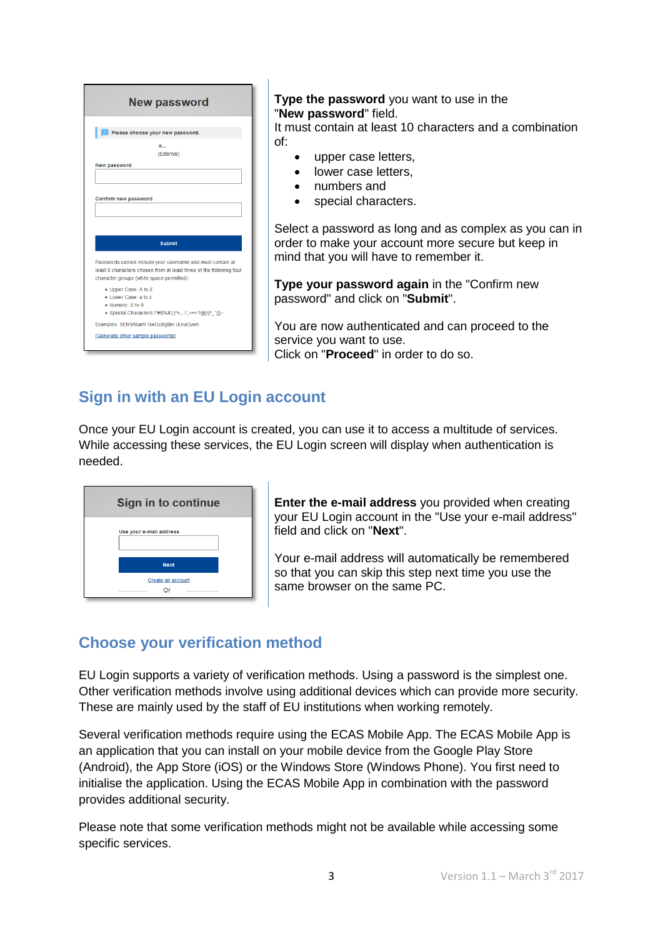|                     | <b>New password</b>                                                                                                                                                                             |
|---------------------|-------------------------------------------------------------------------------------------------------------------------------------------------------------------------------------------------|
|                     | Please choose your new password.                                                                                                                                                                |
|                     | n<br>(External)                                                                                                                                                                                 |
| <b>New password</b> |                                                                                                                                                                                                 |
|                     | Confirm new password                                                                                                                                                                            |
|                     |                                                                                                                                                                                                 |
|                     | <b>Submit</b><br>Passwords cannot include your username and must contain at<br>least 8 characters chosen from at least three of the following four<br>character groups (white space permitted): |
|                     | • Upper Case: A to Z<br>. Lower Case: a to z<br>· Numeric: 0 to 9<br>• Special Characters:!"#\$%&'()*+,-./:;<=>?@[\]^_`{ }~                                                                     |
|                     | Examples: SEN5RbaW GwOzMg9m U(nuCuwh                                                                                                                                                            |

#### **Type the password** you want to use in the "**New password**" field.

It must contain at least 10 characters and a combination of:

- upper case letters,
- lower case letters,
- numbers and
- special characters.

Select a password as long and as complex as you can in order to make your account more secure but keep in mind that you will have to remember it.

**Type your password again** in the "Confirm new password" and click on "**Submit**".

You are now authenticated and can proceed to the service you want to use. Click on "**Proceed**" in order to do so.

## **Sign in with an EU Login account**

Once your EU Login account is created, you can use it to access a multitude of services. While accessing these services, the EU Login screen will display when authentication is needed.

| <b>Sign in to continue</b> |
|----------------------------|
| Use your e-mail address    |
| <b>Next</b>                |
| Create an account<br>∩r    |

**Enter the e-mail address** you provided when creating your EU Login account in the "Use your e-mail address" field and click on "**Next**".

Your e-mail address will automatically be remembered so that you can skip this step next time you use the same browser on the same PC.

#### **Choose your verification method**

EU Login supports a variety of verification methods. Using a password is the simplest one. Other verification methods involve using additional devices which can provide more security. These are mainly used by the staff of EU institutions when working remotely.

Several verification methods require using the ECAS Mobile App. The ECAS Mobile App is an application that you can install on your mobile device from the Google Play Store (Android), the App Store (iOS) or the Windows Store (Windows Phone). You first need to initialise the application. Using the ECAS Mobile App in combination with the password provides additional security.

Please note that some verification methods might not be available while accessing some specific services.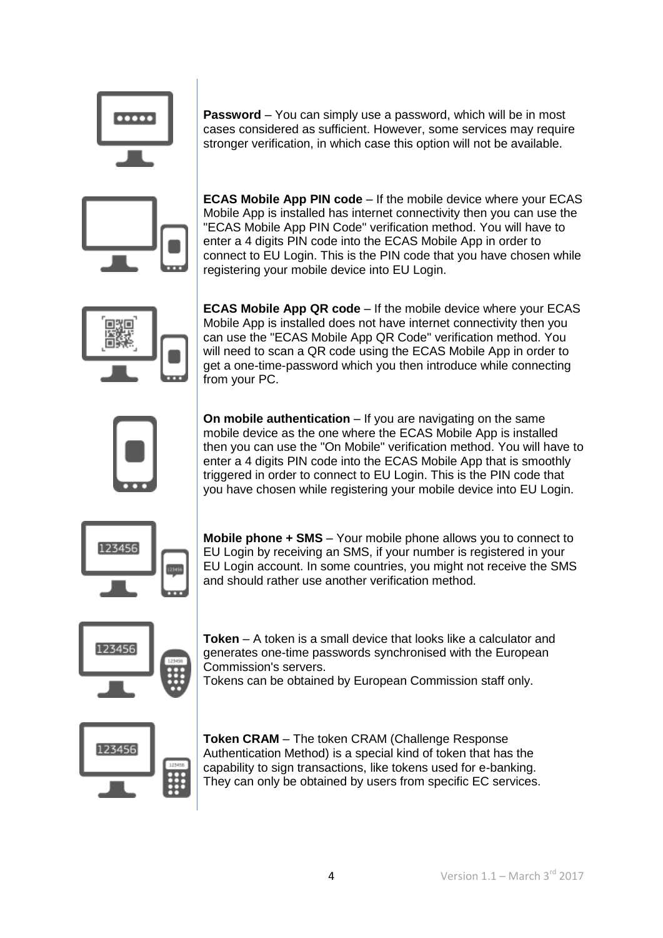

**Password** – You can simply use a password, which will be in most cases considered as sufficient. However, some services may require stronger verification, in which case this option will not be available.

**ECAS Mobile App PIN code** – If the mobile device where your ECAS Mobile App is installed has internet connectivity then you can use the "ECAS Mobile App PIN Code" verification method. You will have to enter a 4 digits PIN code into the ECAS Mobile App in order to connect to EU Login. This is the PIN code that you have chosen while registering your mobile device into EU Login.



**ECAS Mobile App QR code** – If the mobile device where your ECAS Mobile App is installed does not have internet connectivity then you can use the "ECAS Mobile App QR Code" verification method. You will need to scan a QR code using the ECAS Mobile App in order to get a one-time-password which you then introduce while connecting from your PC.



**On mobile authentication** – If you are navigating on the same mobile device as the one where the ECAS Mobile App is installed then you can use the "On Mobile" verification method. You will have to enter a 4 digits PIN code into the ECAS Mobile App that is smoothly triggered in order to connect to EU Login. This is the PIN code that you have chosen while registering your mobile device into EU Login.



**Mobile phone + SMS** – Your mobile phone allows you to connect to EU Login by receiving an SMS, if your number is registered in your EU Login account. In some countries, you might not receive the SMS and should rather use another verification method.

**Token** – A token is a small device that looks like a calculator and generates one-time passwords synchronised with the European Commission's servers.

Tokens can be obtained by European Commission staff only.



**Token CRAM** – The token CRAM (Challenge Response Authentication Method) is a special kind of token that has the capability to sign transactions, like tokens used for e-banking. They can only be obtained by users from specific EC services.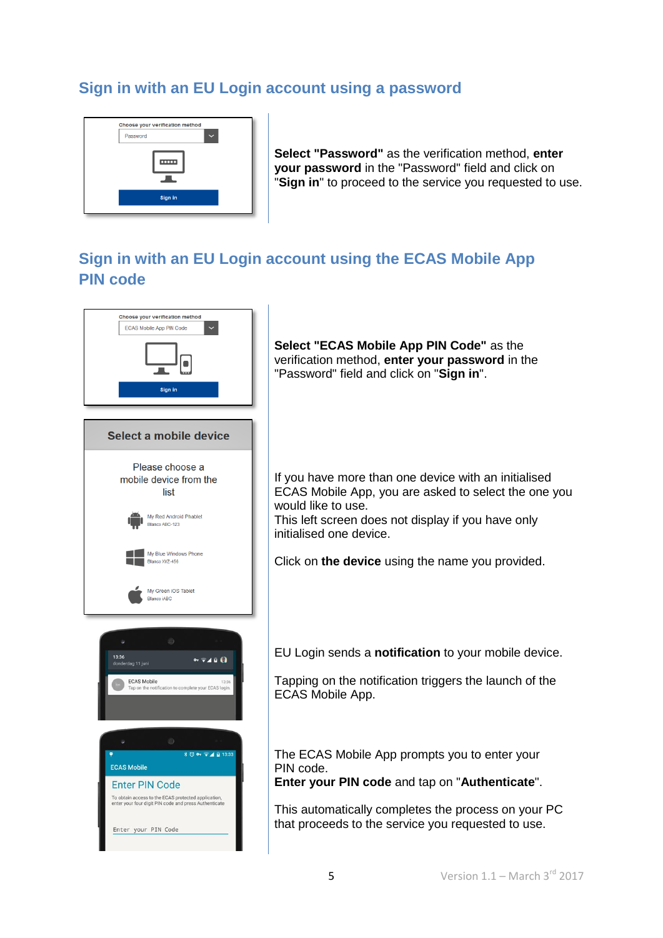### **Sign in with an EU Login account using a password**



**Select "Password"** as the verification method, **enter your password** in the "Password" field and click on "**Sign in**" to proceed to the service you requested to use.

### **Sign in with an EU Login account using the ECAS Mobile App PIN code**



**Select "ECAS Mobile App PIN Code"** as the verification method, **enter your password** in the "Password" field and click on "**Sign in**".

If you have more than one device with an initialised ECAS Mobile App, you are asked to select the one you would like to use.

This left screen does not display if you have only initialised one device.

Click on **the device** using the name you provided.

EU Login sends a **notification** to your mobile device.

Tapping on the notification triggers the launch of the ECAS Mobile App.

The ECAS Mobile App prompts you to enter your PIN code.

**Enter your PIN code** and tap on "**Authenticate**".

This automatically completes the process on your PC that proceeds to the service you requested to use.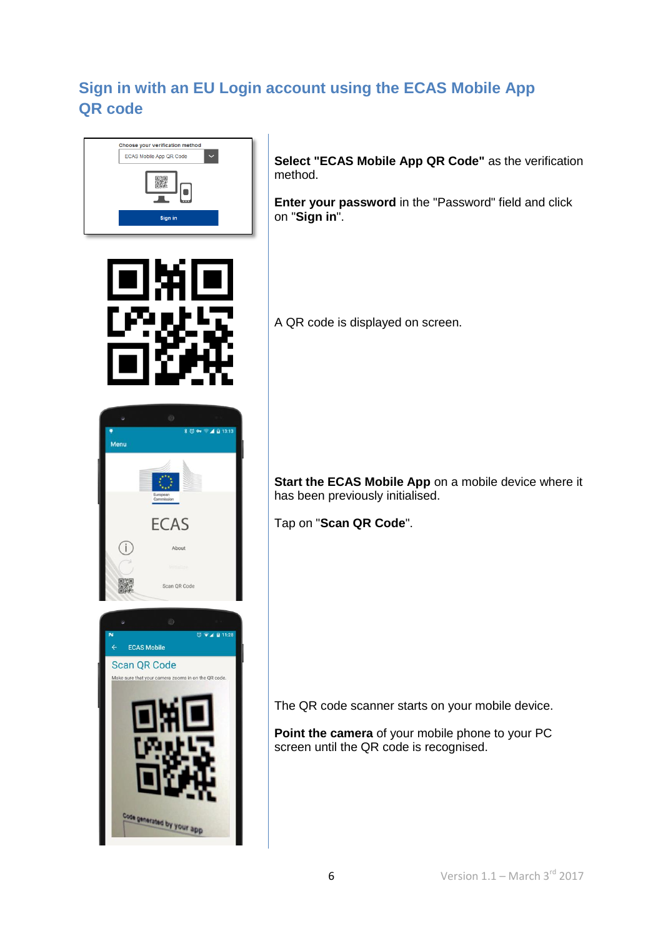# **Sign in with an EU Login account using the ECAS Mobile App QR code**



**Select "ECAS Mobile App QR Code"** as the verification method.

**Enter your password** in the "Password" field and click on "**Sign in**".



**ECAS** 

About

Scan OR Code

Make sure that your camera zooms in on the QR code

ode generated by your app

ECAS Mobile Scan QR Code

Menu

 $$ \circledcirc$  4 0 13:13

 $\overline{\text{O}}$   $\overline{\text{V}}$   $\overline{\text{V}}$   $\overline{\text{V}}$  11:28

A QR code is displayed on screen.

**Start the ECAS Mobile App** on a mobile device where it has been previously initialised.

Tap on "**Scan QR Code**".

The QR code scanner starts on your mobile device.

**Point the camera** of your mobile phone to your PC screen until the QR code is recognised.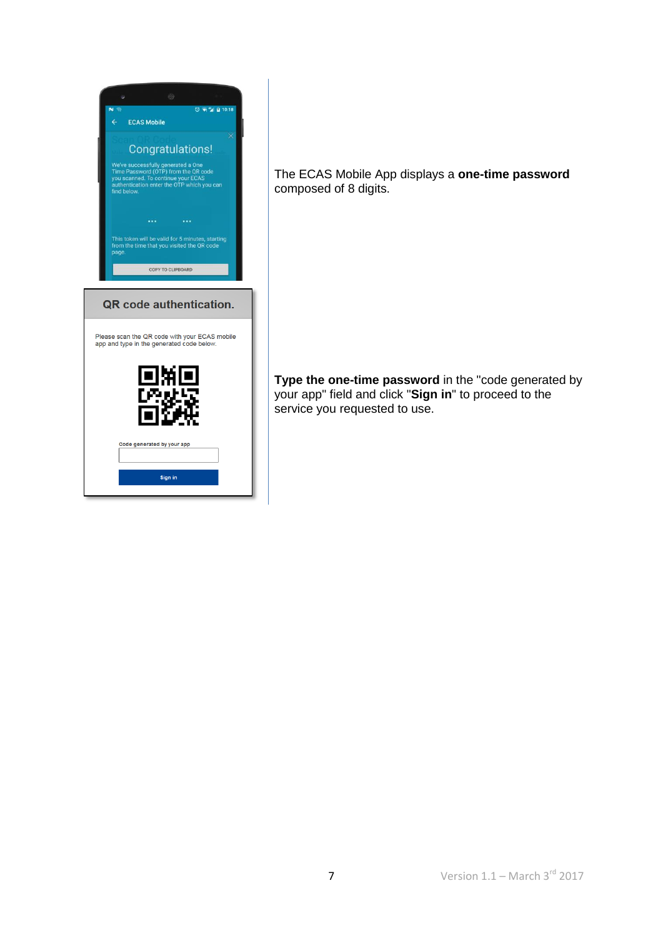| $0 \div 211110:18$<br><b>Sig</b><br><b>ECAS Mobile</b><br>$\leftarrow$                                                                                                        |
|-------------------------------------------------------------------------------------------------------------------------------------------------------------------------------|
| Congratulations!                                                                                                                                                              |
| We've successfully generated a One<br>Time Password (OTP) from the QR code<br>you scanned. To continue your ECAS<br>authentication enter the OTP which you can<br>find below. |
| $\cdots$<br>$\cdots$                                                                                                                                                          |
| This token will be valid for 5 minutes, starting<br>from the time that you visited the QR code<br>page.                                                                       |
| COPY TO CLIPBOARD                                                                                                                                                             |
| QR code authentication.                                                                                                                                                       |
| Please scan the QR code with your ECAS mobile<br>app and type in the generated code below.                                                                                    |
| 直接                                                                                                                                                                            |
|                                                                                                                                                                               |
|                                                                                                                                                                               |
| Code generated by your app                                                                                                                                                    |
| Sign in                                                                                                                                                                       |

The ECAS Mobile App displays a **one-time password**  composed of 8 digits.

**Type the one-time password** in the "code generated by your app" field and click "**Sign in**" to proceed to the service you requested to use.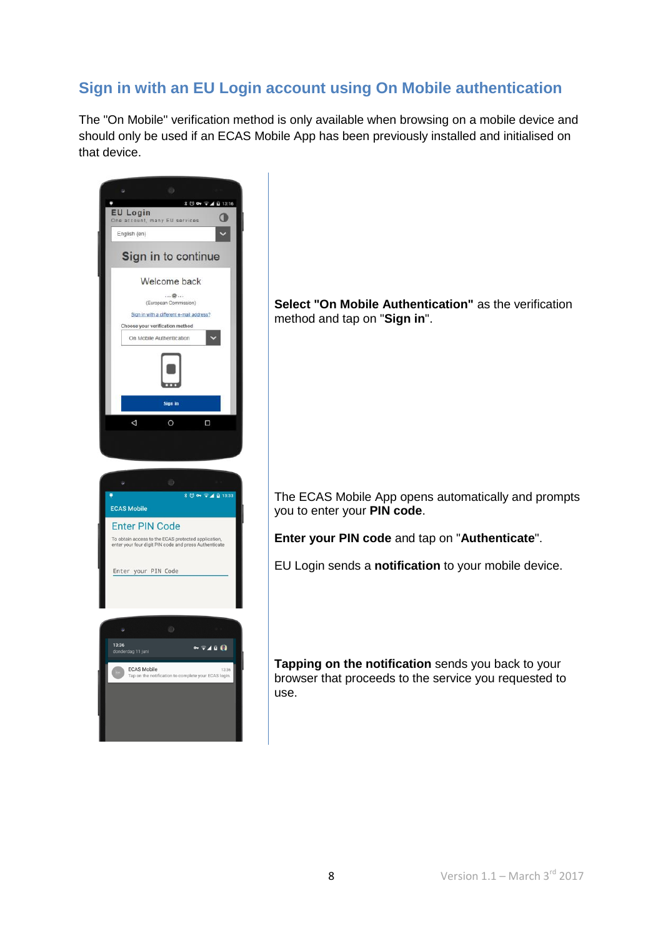## **Sign in with an EU Login account using On Mobile authentication**

The "On Mobile" verification method is only available when browsing on a mobile device and should only be used if an ECAS Mobile App has been previously installed and initialised on that device.

| G)<br><b>∦ ◎ ◎ ◎ ▲ □ 13:16</b><br><b>EU Login</b><br>O<br>One account, many EU services<br>$\ddot{\phantom{1}}$<br>English (en)<br>Sign in to continue<br>Welcome back<br>②<br>(European Commission)<br>Sign in with a different e-mail address?<br>Choose your verification method<br>On Mobile Authentication<br>Sign in<br>$\triangle$<br>$\circ$<br>$\Box$ | Select "On Mobile Authentication" as the verification<br>method and tap on "Sign in".                                                |
|----------------------------------------------------------------------------------------------------------------------------------------------------------------------------------------------------------------------------------------------------------------------------------------------------------------------------------------------------------------|--------------------------------------------------------------------------------------------------------------------------------------|
| 49<br>Ù.<br><b>ECAS Mobile</b><br><b>Enter PIN Code</b><br>To obtain access to the ECAS protected application,<br>enter your four digit PIN code and press Authenticate                                                                                                                                                                                        | The ECAS Mobile App opens automatically and prompts<br>you to enter your PIN code.<br>Enter your PIN code and tap on "Authenticate". |
| Enter your PIN Code                                                                                                                                                                                                                                                                                                                                            | EU Login sends a notification to your mobile device.                                                                                 |
| *<br>۵<br>13:36<br>⊶⊸⊿∎ଭ<br>donderdag 11 juni<br><b>ECAS Mobile</b><br>13:36<br>Tap on the notification to complete your ECAS login.                                                                                                                                                                                                                           | Tapping on the notification sends you back to your<br>browser that proceeds to the service you requested to<br>use.                  |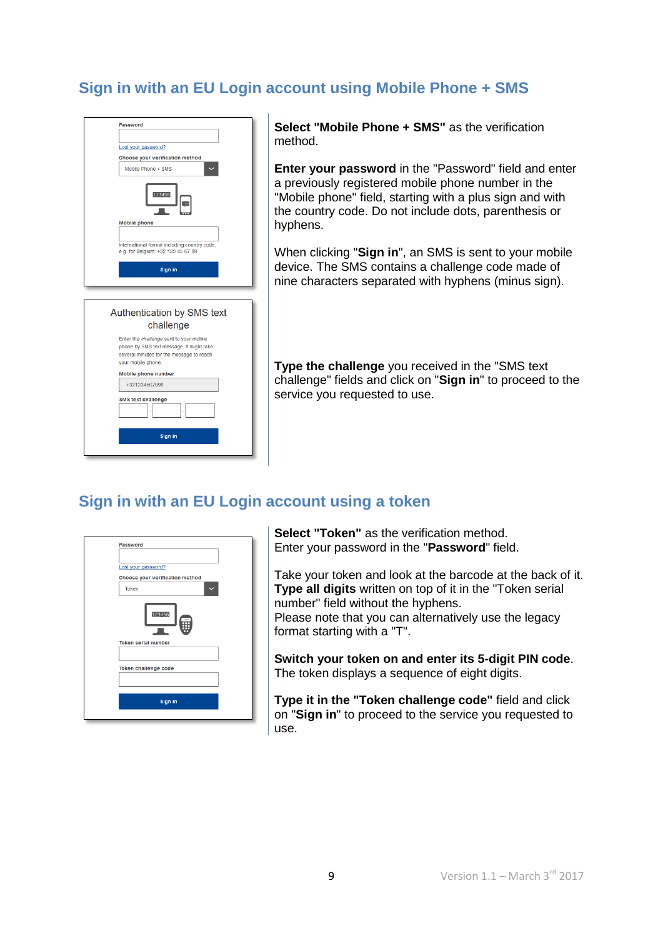## **Sign in with an EU Login account using Mobile Phone + SMS**

| <b>Password</b>                                                                     |
|-------------------------------------------------------------------------------------|
|                                                                                     |
| Lost your password?                                                                 |
| Choose your verification method                                                     |
| Mobile Phone + SMS                                                                  |
|                                                                                     |
| 123456                                                                              |
| <b>Mobile phone</b>                                                                 |
|                                                                                     |
| International format including country code,                                        |
| e.g. for Belgium: +32 123 45 67 89                                                  |
|                                                                                     |
| Sign in                                                                             |
|                                                                                     |
|                                                                                     |
|                                                                                     |
| Authentication by SMS text<br>challenge                                             |
|                                                                                     |
| Enter the challenge sent to your mobile<br>phone by SMS text message. It might take |
| several minutes for the message to reach                                            |
| your mobile phone.                                                                  |
| <b>Mobile phone number</b>                                                          |
| +321234567890                                                                       |
|                                                                                     |
| <b>SMS text challenge</b>                                                           |
|                                                                                     |
|                                                                                     |
| Sign in                                                                             |
|                                                                                     |

**Select "Mobile Phone + SMS"** as the verification method.

**Enter your password** in the "Password" field and enter a previously registered mobile phone number in the "Mobile phone" field, starting with a plus sign and with the country code. Do not include dots, parenthesis or hyphens.

When clicking "**Sign in**", an SMS is sent to your mobile device. The SMS contains a challenge code made of nine characters separated with hyphens (minus sign).

**Type the challenge** you received in the "SMS text challenge" fields and click on "**Sign in**" to proceed to the service you requested to use.

#### **Sign in with an EU Login account using a token**

| Password                        |
|---------------------------------|
| Lost your password?             |
| Choose your verification method |
| <b>Token</b>                    |
| 123456<br>12949                 |
| <b>Token serial number</b>      |
|                                 |
| Token challenge code            |
|                                 |
| Sign in                         |
|                                 |

**Select "Token"** as the verification method. Enter your password in the "**Password**" field.

Take your token and look at the barcode at the back of it. **Type all digits** written on top of it in the "Token serial number" field without the hyphens. Please note that you can alternatively use the legacy format starting with a "T".

**Switch your token on and enter its 5-digit PIN code**. The token displays a sequence of eight digits.

**Type it in the "Token challenge code"** field and click on "**Sign in**" to proceed to the service you requested to use.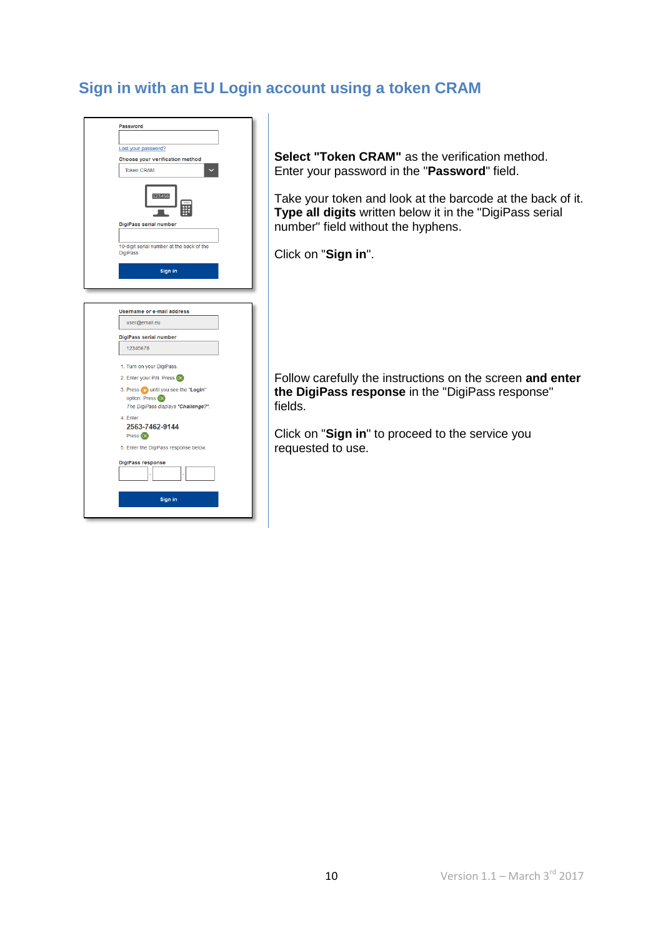## **Sign in with an EU Login account using a token CRAM**

| Password                                                     |  |
|--------------------------------------------------------------|--|
|                                                              |  |
| Lost your password?                                          |  |
| Choose your verification method                              |  |
| <b>Token CRAM</b>                                            |  |
| 123456                                                       |  |
| DigiPass serial number                                       |  |
|                                                              |  |
| 10-digit serial number at the back of the<br><b>DigiPass</b> |  |
| Sign in                                                      |  |
|                                                              |  |
|                                                              |  |
|                                                              |  |
| <b>Username or e-mail address</b>                            |  |
| user@email.eu                                                |  |
| DigiPass serial number                                       |  |
| 12345678                                                     |  |
|                                                              |  |
| 1. Turn on your DigiPass.                                    |  |
| 2. Enter your PIN. Press OK                                  |  |
| 3. Press in until you see the "Login"                        |  |
| option. Press OK                                             |  |
| The DigiPass displays "Challenge?".                          |  |
| 4. Enter<br>2563-7462-9144                                   |  |
| Press <sub>OK</sub>                                          |  |
| 5. Enter the DigiPass response below.                        |  |
|                                                              |  |
| <b>DigiPass response</b>                                     |  |
|                                                              |  |
| Sign in                                                      |  |
|                                                              |  |
|                                                              |  |

**Select "Token CRAM"** as the verification method. Enter your password in the "**Password**" field.

Take your token and look at the barcode at the back of it. **Type all digits** written below it in the "DigiPass serial number" field without the hyphens.

Click on "**Sign in**".

Follow carefully the instructions on the screen **and enter the DigiPass response** in the "DigiPass response" fields.

Click on "**Sign in**" to proceed to the service you requested to use.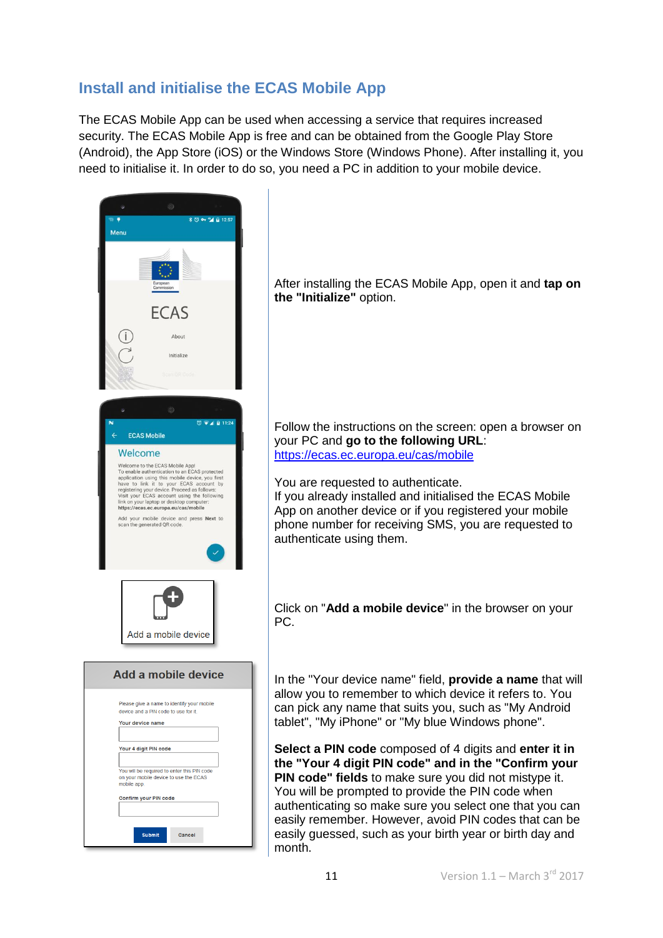## **Install and initialise the ECAS Mobile App**

The ECAS Mobile App can be used when accessing a service that requires increased security. The ECAS Mobile App is free and can be obtained from the Google Play Store (Android), the App Store (iOS) or the Windows Store (Windows Phone). After installing it, you need to initialise it. In order to do so, you need a PC in addition to your mobile device.



After installing the ECAS Mobile App, open it and **tap on the "Initialize"** option.

Follow the instructions on the screen: open a browser on your PC and **go to the following URL**: <https://ecas.ec.europa.eu/cas/mobile>

#### You are requested to authenticate.

If you already installed and initialised the ECAS Mobile App on another device or if you registered your mobile phone number for receiving SMS, you are requested to authenticate using them.

Click on "**Add a mobile device**" in the browser on your PC.

In the "Your device name" field, **provide a name** that will allow you to remember to which device it refers to. You can pick any name that suits you, such as "My Android tablet", "My iPhone" or "My blue Windows phone".

**Select a PIN code** composed of 4 digits and **enter it in the "Your 4 digit PIN code" and in the "Confirm your PIN code" fields** to make sure you did not mistype it. You will be prompted to provide the PIN code when authenticating so make sure you select one that you can easily remember. However, avoid PIN codes that can be easily guessed, such as your birth year or birth day and month.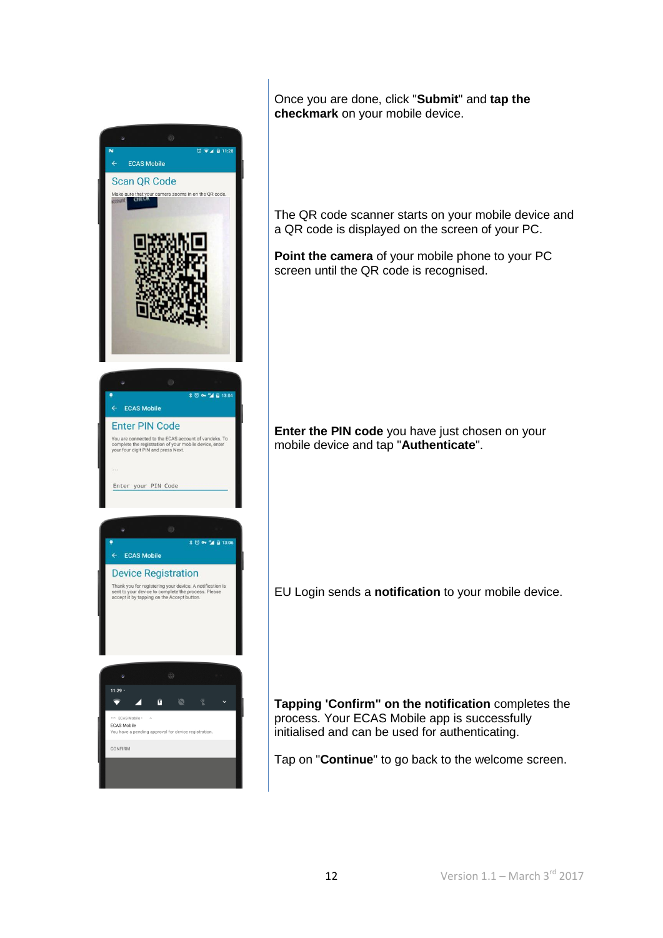

Once you are done, click "**Submit**" and **tap the checkmark** on your mobile device.

The QR code scanner starts on your mobile device and a QR code is displayed on the screen of your PC.

**Point the camera** of your mobile phone to your PC screen until the QR code is recognised.

**Enter the PIN code** you have just chosen on your mobile device and tap "**Authenticate**".

EU Login sends a **notification** to your mobile device.

**Tapping 'Confirm" on the notification** completes the process. Your ECAS Mobile app is successfully initialised and can be used for authenticating.

Tap on "**Continue**" to go back to the welcome screen.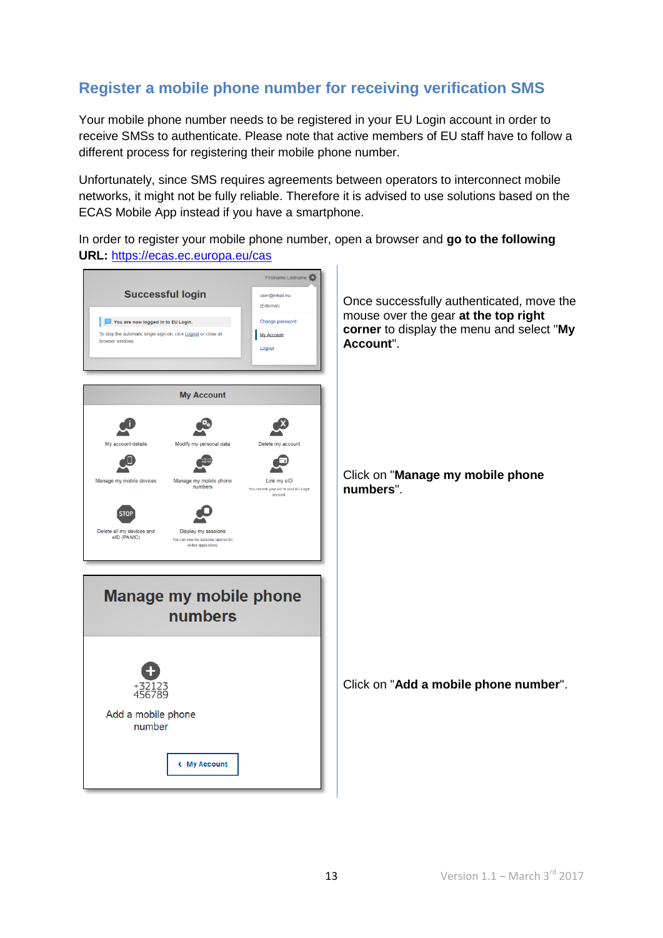# **Register a mobile phone number for receiving verification SMS**

Your mobile phone number needs to be registered in your EU Login account in order to receive SMSs to authenticate. Please note that active members of EU staff have to follow a different process for registering their mobile phone number.

Unfortunately, since SMS requires agreements between operators to interconnect mobile networks, it might not be fully reliable. Therefore it is advised to use solutions based on the ECAS Mobile App instead if you have a smartphone.

In order to register your mobile phone number, open a browser and **go to the following URL:** <https://ecas.ec.europa.eu/cas>

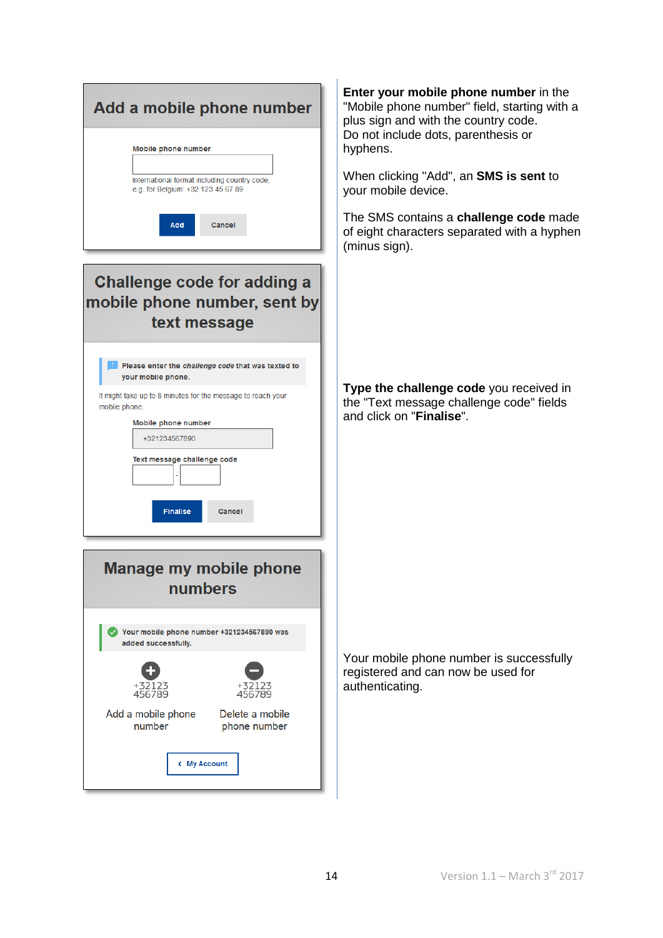